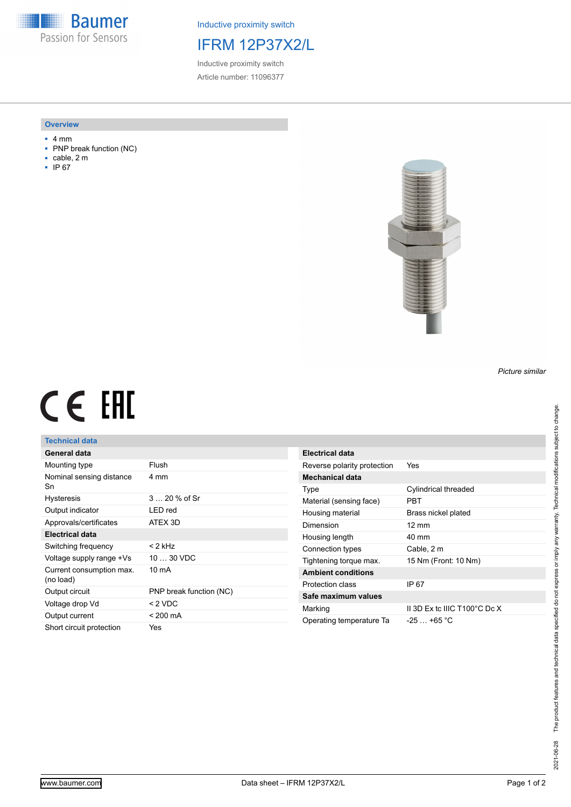**Baumer** Passion for Sensors

Inductive proximity switch

## IFRM 12P37X2/L

Inductive proximity switch Article number: 11096377

#### **Overview**

- 4 mm
- PNP break function (NC)
- cable, 2 m
- IP 67



## *Picture similar*

# CE EHL

## **Technical data**

| General data                          |                         |
|---------------------------------------|-------------------------|
| Mounting type                         | Flush                   |
| Nominal sensing distance<br>Sn        | 4 mm                    |
| <b>Hysteresis</b>                     | $320%$ of Sr            |
| Output indicator                      | LED red                 |
| Approvals/certificates                | ATEX 3D                 |
| Electrical data                       |                         |
| Switching frequency                   | < 2 kHz                 |
| Voltage supply range +Vs              | $1030$ VDC              |
| Current consumption max.<br>(no load) | 10 mA                   |
| Output circuit                        | PNP break function (NC) |
| Voltage drop Vd                       | $< 2$ VDC               |
| Output current                        | $< 200 \text{ mA}$      |
| Short circuit protection              | Yes                     |

| Electrical data             |                              |
|-----------------------------|------------------------------|
| Reverse polarity protection | Yes                          |
| Mechanical data             |                              |
| Type                        | Cylindrical threaded         |
| Material (sensing face)     | PRT                          |
| Housing material            | Brass nickel plated          |
| Dimension                   | $12 \text{ mm}$              |
| Housing length              | 40 mm                        |
| Connection types            | Cable, 2 m                   |
| Tightening torque max.      | 15 Nm (Front: 10 Nm)         |
| <b>Ambient conditions</b>   |                              |
| Protection class            | IP 67                        |
| Safe maximum values         |                              |
| Marking                     | II 3D Ex tc IIIC T100°C Dc X |
| Operating temperature Ta    | $-25 + 65$ °C                |